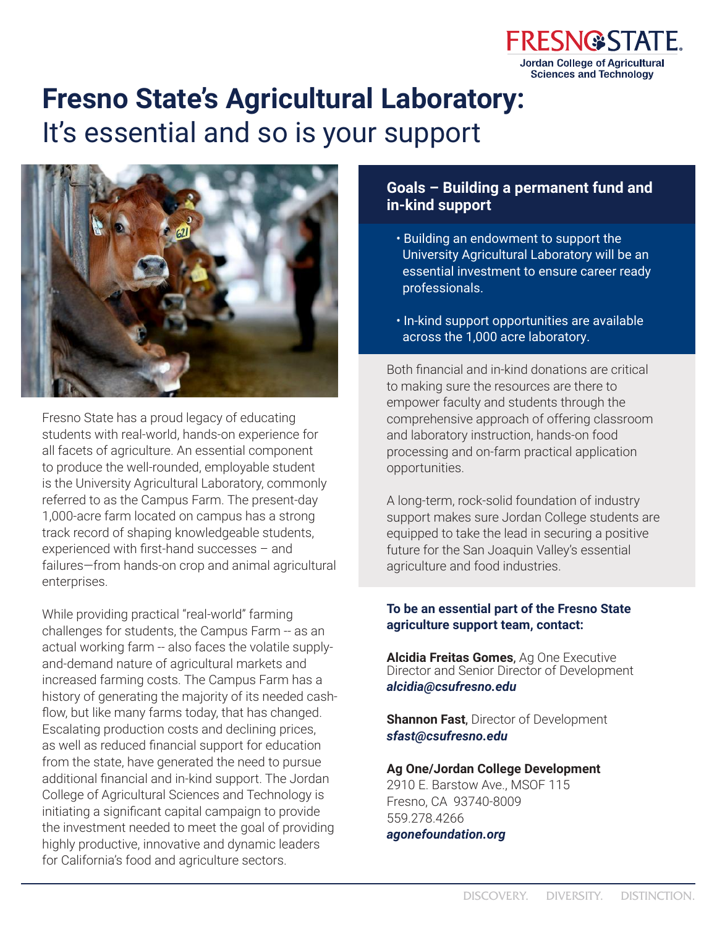

# **Fresno State's Agricultural Laboratory:**  It's essential and so is your support



Fresno State has a proud legacy of educating students with real-world, hands-on experience for all facets of agriculture. An essential component to produce the well-rounded, employable student is the University Agricultural Laboratory, commonly referred to as the Campus Farm. The present-day 1,000-acre farm located on campus has a strong track record of shaping knowledgeable students, experienced with first-hand successes – and failures—from hands-on crop and animal agricultural enterprises.

While providing practical "real-world" farming challenges for students, the Campus Farm -- as an actual working farm -- also faces the volatile supplyand-demand nature of agricultural markets and increased farming costs. The Campus Farm has a history of generating the majority of its needed cashflow, but like many farms today, that has changed. Escalating production costs and declining prices, as well as reduced financial support for education from the state, have generated the need to pursue additional financial and in-kind support. The Jordan College of Agricultural Sciences and Technology is initiating a significant capital campaign to provide the investment needed to meet the goal of providing highly productive, innovative and dynamic leaders for California's food and agriculture sectors.

# **Goals – Building a permanent fund and in-kind support**

- Building an endowment to support the University Agricultural Laboratory will be an essential investment to ensure career ready professionals.
- In-kind support opportunities are available across the 1,000 acre laboratory.

Both financial and in-kind donations are critical to making sure the resources are there to empower faculty and students through the comprehensive approach of offering classroom and laboratory instruction, hands-on food processing and on-farm practical application opportunities.

A long-term, rock-solid foundation of industry support makes sure Jordan College students are equipped to take the lead in securing a positive future for the San Joaquin Valley's essential agriculture and food industries.

#### **To be an essential part of the Fresno State agriculture support team, contact:**

**Alcidia Freitas Gomes**, Ag One Executive Director and Senior Director of Development *alcidia@csufresno.edu*

**Shannon Fast**, Director of Development *sfast@csufresno.edu*

#### **Ag One/Jordan College Development**

2910 E. Barstow Ave., MSOF 115 Fresno, CA 93740-8009 559.278.4266 *agonefoundation.org*